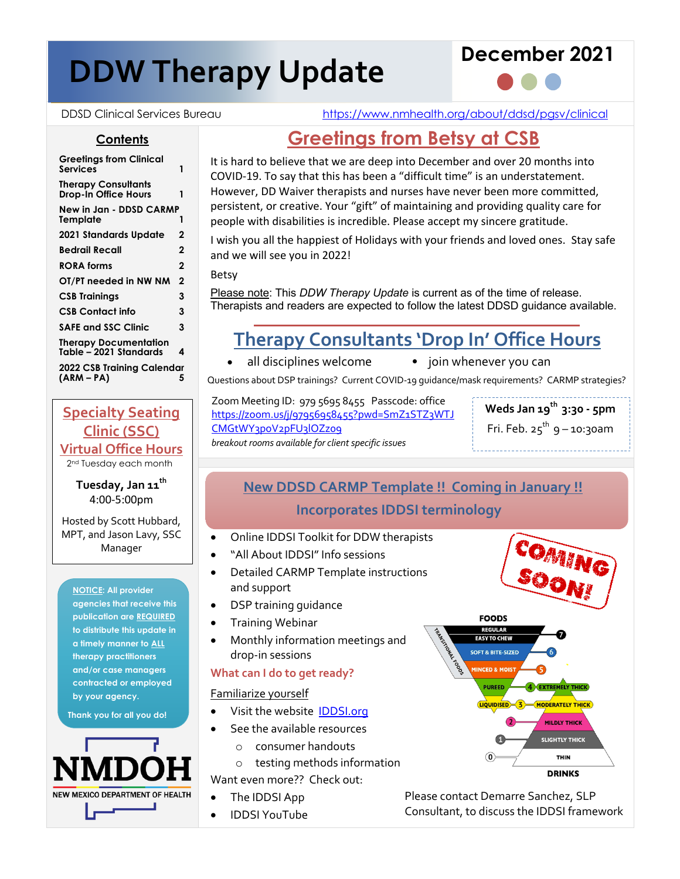# **DDW Therapy Update DDW Therapy Update**





**Contents**

DDSD Clinical Services Bureau https://www.nmhealth.org/about/ddsd/pgsv/clinical

# **Greetings from Betsy at CSB**

It is hard to believe that we are deep into December and over 20 months into COVID-19. To say that this has been a "difficult time" is an understatement. However, DD Waiver therapists and nurses have never been more committed, persistent, or creative. Your "gift" of maintaining and providing quality care for people with disabilities is incredible. Please accept my sincere gratitude.

I wish you all the happiest of Holidays with your friends and loved ones. Stay safe and we will see you in 2022!

Betsy

Please note: This *DDW Therapy Update* is current as of the time of release. Therapists and readers are expected to follow the latest DDSD guidance available.

# **Therapy Consultants 'Drop In' Office Hours**

- 
- all disciplines welcome join whenever you can

Questions about DSP trainings? Current COVID-19 guidance/mask requirements? CARMP strategies?

Zoom Meeting ID: 979 5695 8455 Passcode: office https://zoom.us/j/97956958455?pwd=SmZ1STZ3WTJ CMGtWY3poV2pFU3lOZz09 *breakout rooms available for client specific issues*

Fri. Feb.  $25^{th}$  9 – 10:30am

\_\_\_\_\_\_\_\_\_\_\_\_\_\_\_\_\_\_\_\_\_\_\_\_\_\_\_\_\_\_\_\_

### **New DDSD CARMP Template !! Coming in January !! Incorporates IDDSI terminology**

- Online IDDSI Toolkit for DDW therapists
- "All About IDDSI" Info sessions
- Detailed CARMP Template instructions and support
- DSP training guidance
- Training Webinar
- Monthly information meetings and drop-in sessions

#### **What can I do to get ready?**

Familiarize yourself

- Visit the website IDDSI.org
- See the available resources
	- o consumer handouts
	- o testing methods information

Want even more?? Check out:

- The IDDSI App
- IDDSI YouTube



Please contact Demarre Sanchez, SLP Consultant, to discuss the IDDSI framework

**Greetings from Clinical Services 1 Therapy Consultants Drop-In Office Hours 1 New in Jan - DDSD CARMP Template 1 2021 Standards Update 2 Bedrail Recall 2 RORA forms 2 OT/PT needed in NW NM 2 CSB Trainings 3 CSB Contact info 3 SAFE and SSC Clinic 3 Therapy Documentation Table – 2021 Standards 4**

**2022 CSB Training Calendar (ARM – PA) 5**

**Specialty Seating Clinic (SSC) Virtual Office Hours**

2<sup>nd</sup> Tuesday each month

**Tuesday, Jan 11th** 4:00-5:00pm

Hosted by Scott Hubbard, MPT, and Jason Lavy, SSC Manager

**NOTICE: All provider agencies that receive this publication are REQUIRED to distribute this update in a timely manner to ALL therapy practitioners and/or case managers contracted or employed by your agency.**

**Thank you for all you do!**



**Weds Jan 19th 3:30 - 5pm**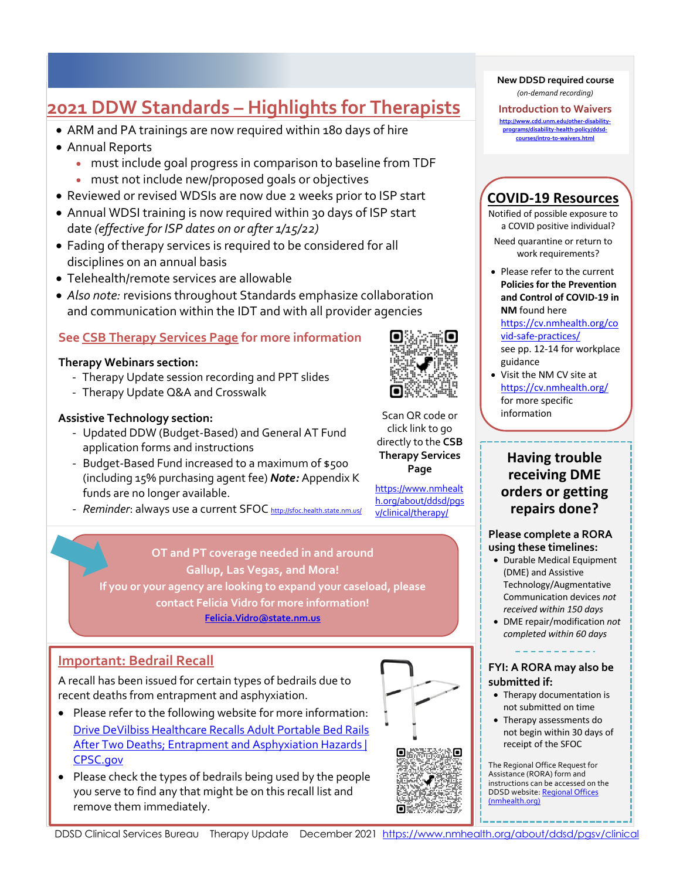# **2021 DDW Standards – Highlights for Therapists**

- ARM and PA trainings are now required within 180 days of hire
- Annual Reports

- must include goal progress in comparison to baseline from TDF
- must not include new/proposed goals or objectives
- Reviewed or revised WDSIs are now due 2 weeks prior to ISP start
- Annual WDSI training is now required within 30 days of ISP start date *(effective for ISP dates on or after 1/15/22)*
- Fading of therapy services is required to be considered for all disciplines on an annual basis
- Telehealth/remote services are allowable
- *Also note:* revisions throughout Standards emphasize collaboration and communication within the IDT and with all provider agencies

#### **See CSB Therapy Services Page for more information**

#### **Therapy Webinars section:**

- Therapy Update session recording and PPT slides
- Therapy Update Q&A and Crosswalk

#### **Assistive Technology section:**

- Updated DDW (Budget-Based) and General AT Fund application forms and instructions
- Budget-Based Fund increased to a maximum of \$500 (including 15% purchasing agent fee) *Note:* Appendix K funds are no longer available.
- *Reminder*: always use a current SFOC http://sfoc.health.state.nm.us/

### **OT and PT coverage needed in and around Gallup, Las Vegas, and Mora! If you or your agency are looking to expand your caseload, please**

**contact Felicia Vidro for more information! Felicia.Vidro@state.nm.us**

#### **Important: Bedrail Recall**

A recall has been issued for certain types of bedrails due to recent deaths from entrapment and asphyxiation.

- Please refer to the following website for more information: Drive DeVilbiss Healthcare Recalls Adult Portable Bed Rails After Two Deaths; Entrapment and Asphyxiation Hazards | CPSC.gov
- Please check the types of bedrails being used by the people you serve to find any that might be on this recall list and remove them immediately.

#### **New DDSD required course** *(on-demand recording)*

**Introduction to Waivers http://www.cdd.unm.edu/other-disabilityprograms/disability-health-policy/ddsdcourses/intro-to-waivers.html**

#### **COVID-19 Resources**

Notified of possible exposure to a COVID positive individual?

Need quarantine or return to work requirements?

• Please refer to the current **Policies for the Prevention and Control of COVID-19 in NM** found here

#### https://cv.nmhealth.org/co vid-safe-practices/

see pp. 12-14 for workplace guidance

• Visit the NM CV site at https://cv.nmhealth.org/ for more specific information

#### **Having trouble receiving DME orders or getting repairs done?**

#### **Please complete a RORA using these timelines:**

- Durable Medical Equipment (DME) and Assistive Technology/Augmentative Communication devices *not received within 150 days*
- DME repair/modification *not completed within 60 days*

#### **FYI: A RORA may also be submitted if:**

- Therapy documentation is not submitted on time
- Therapy assessments do not begin within 30 days of receipt of the SFOC

The Regional Office Request for Assistance (RORA) form and instructions can be accessed on the DDSD website: Regional Offices (nmhealth.org)



Scan QR code or click link to go directly to the **CSB Therapy Services Page**

https://www.nmhealt h.org/about/ddsd/pgs v/clinical/therapy/



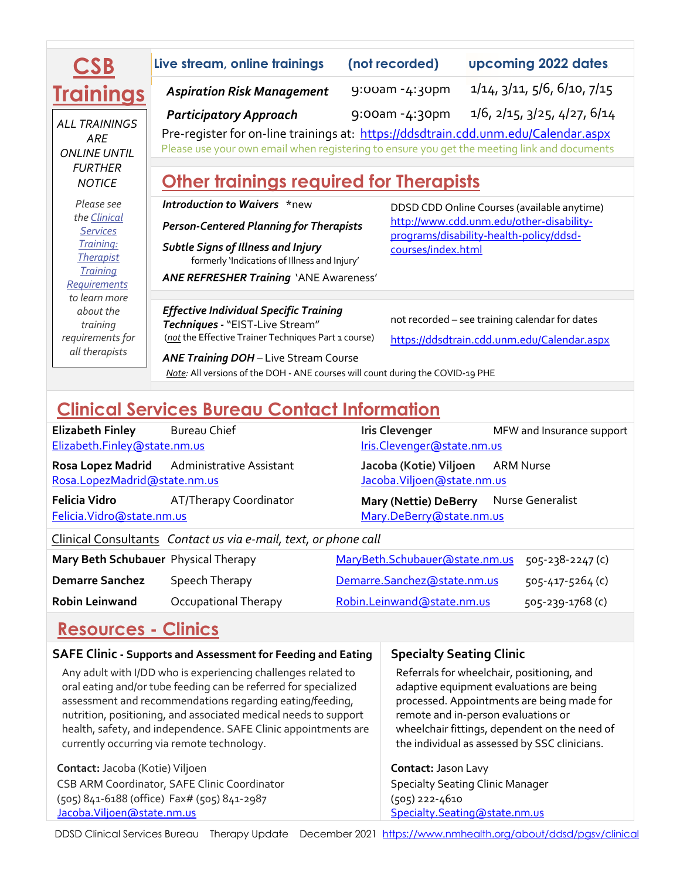| <b>CSB</b>                                         | Live stream, online trainings                                                                                                                                                     | (not recorded) | upcoming 2022 dates                                                                     |  |  |
|----------------------------------------------------|-----------------------------------------------------------------------------------------------------------------------------------------------------------------------------------|----------------|-----------------------------------------------------------------------------------------|--|--|
| <b>Trainings</b>                                   | <b>Aspiration Risk Management</b>                                                                                                                                                 | 9:00am -4:30pm | 1/14, 3/11, 5/6, 6/10, 7/15                                                             |  |  |
| <b>ALL TRAININGS</b><br>ARE<br><b>ONLINE UNTIL</b> | <b>Participatory Approach</b>                                                                                                                                                     | 9:00am -4:30pm | $1/6$ , $2/15$ , $3/25$ , $4/27$ , $6/14$                                               |  |  |
|                                                    | Pre-register for on-line trainings at: https://ddsdtrain.cdd.unm.edu/Calendar.aspx<br>Please use your own email when registering to ensure you get the meeting link and documents |                |                                                                                         |  |  |
| <b>FURTHER</b>                                     |                                                                                                                                                                                   |                |                                                                                         |  |  |
| <b>NOTICE</b>                                      | <b>Other trainings required for Therapists</b>                                                                                                                                    |                |                                                                                         |  |  |
| Please see                                         | Introduction to Waivers *new                                                                                                                                                      |                | DDSD CDD Online Courses (available anytime)<br>http://www.cdd.unm.edu/other-disability- |  |  |
| the Clinical                                       |                                                                                                                                                                                   |                |                                                                                         |  |  |
| <b>Services</b>                                    | <b>Person-Centered Planning for Therapists</b><br>programs/disability-health-policy/ddsd-                                                                                         |                |                                                                                         |  |  |
| Training:                                          | <b>Subtle Signs of Illness and Injury</b>                                                                                                                                         |                | courses/index.html                                                                      |  |  |
| <b>Therapist</b>                                   | formerly 'Indications of Illness and Injury'                                                                                                                                      |                |                                                                                         |  |  |
| <b>Training</b>                                    | <b>ANE REFRESHER Training 'ANE Awareness'</b>                                                                                                                                     |                |                                                                                         |  |  |
| Requirements                                       |                                                                                                                                                                                   |                |                                                                                         |  |  |
| to learn more<br>about the                         |                                                                                                                                                                                   |                |                                                                                         |  |  |
| training                                           | <b>Effective Individual Specific Training</b><br>Techniques - "EIST-Live Stream"                                                                                                  |                | not recorded - see training calendar for dates                                          |  |  |
| requirements for                                   | (not the Effective Trainer Techniques Part 1 course)                                                                                                                              |                | https://ddsdtrain.cdd.unm.edu/Calendar.aspx                                             |  |  |
| all therapists                                     |                                                                                                                                                                                   |                |                                                                                         |  |  |
|                                                    | <b>ANE Training DOH</b> - Live Stream Course                                                                                                                                      |                |                                                                                         |  |  |
|                                                    | Note: All versions of the DOH - ANE courses will count during the COVID-19 PHE                                                                                                    |                |                                                                                         |  |  |
|                                                    |                                                                                                                                                                                   |                |                                                                                         |  |  |

# **Clinical Services Bureau Contact Information**

| <b>Elizabeth Finley</b><br>Elizabeth.Finley@state.nm.us         | <b>Bureau Chief</b>                        |  | <b>Iris Clevenger</b><br>Iris.Clevenger@state.nm.us    |           | MFW and Insurance support |
|-----------------------------------------------------------------|--------------------------------------------|--|--------------------------------------------------------|-----------|---------------------------|
| Rosa.LopezMadrid@state.nm.us                                    | Rosa Lopez Madrid Administrative Assistant |  | Jacoba (Kotie) Viljoen<br>Jacoba. Viljoen @state.nm.us | ARM Nurse |                           |
| Felicia Vidro<br>Felicia. Vidro@state.nm.us                     | AT/Therapy Coordinator                     |  | Mary (Nettie) DeBerry<br>Mary.DeBerry@state.nm.us      |           | Nurse Generalist          |
| Clinical Consultants Contact us via e-mail, text, or phone call |                                            |  |                                                        |           |                           |
| Mary Beth Schubauer Physical Therapy                            |                                            |  | MaryBeth.Schubauer@state.nm.us                         |           | $505 - 238 - 2247$ (c)    |
| <b>Demarre Sanchez</b>                                          | Speech Therapy                             |  | Demarre.Sanchez@state.nm.us                            |           | $505 - 417 - 5264$ (c)    |
| <b>Robin Leinwand</b>                                           | Occupational Therapy                       |  | Robin.Leinwand@state.nm.us                             |           | 505-239-1768 (c)          |

# **Resources - Clinics**

| <b>SAFE Clinic - Supports and Assessment for Feeding and Eating</b>                                                                                                                                                                                                                                                                                                             | <b>Specialty Seating Clinic</b>                                                                                                                                                                                                                                               |
|---------------------------------------------------------------------------------------------------------------------------------------------------------------------------------------------------------------------------------------------------------------------------------------------------------------------------------------------------------------------------------|-------------------------------------------------------------------------------------------------------------------------------------------------------------------------------------------------------------------------------------------------------------------------------|
| Any adult with I/DD who is experiencing challenges related to<br>oral eating and/or tube feeding can be referred for specialized<br>assessment and recommendations regarding eating/feeding,<br>nutrition, positioning, and associated medical needs to support<br>health, safety, and independence. SAFE Clinic appointments are<br>currently occurring via remote technology. | Referrals for wheelchair, positioning, and<br>adaptive equipment evaluations are being<br>processed. Appointments are being made for<br>remote and in-person evaluations or<br>wheelchair fittings, dependent on the need of<br>the individual as assessed by SSC clinicians. |
| Contact: Jacoba (Kotie) Viljoen                                                                                                                                                                                                                                                                                                                                                 | Contact: Jason Lavy                                                                                                                                                                                                                                                           |
| CSB ARM Coordinator, SAFE Clinic Coordinator                                                                                                                                                                                                                                                                                                                                    | <b>Specialty Seating Clinic Manager</b>                                                                                                                                                                                                                                       |
| (505) 841-6188 (office) Fax# (505) 841-2987                                                                                                                                                                                                                                                                                                                                     | (505) 222-4610                                                                                                                                                                                                                                                                |
| Jacoba. Viljoen@state.nm.us                                                                                                                                                                                                                                                                                                                                                     | Specialty.Seating@state.nm.us                                                                                                                                                                                                                                                 |

DDSD Clinical Services Bureau Therapy Update December 2021 https://www.nmhealth.org/about/ddsd/pgsv/clinical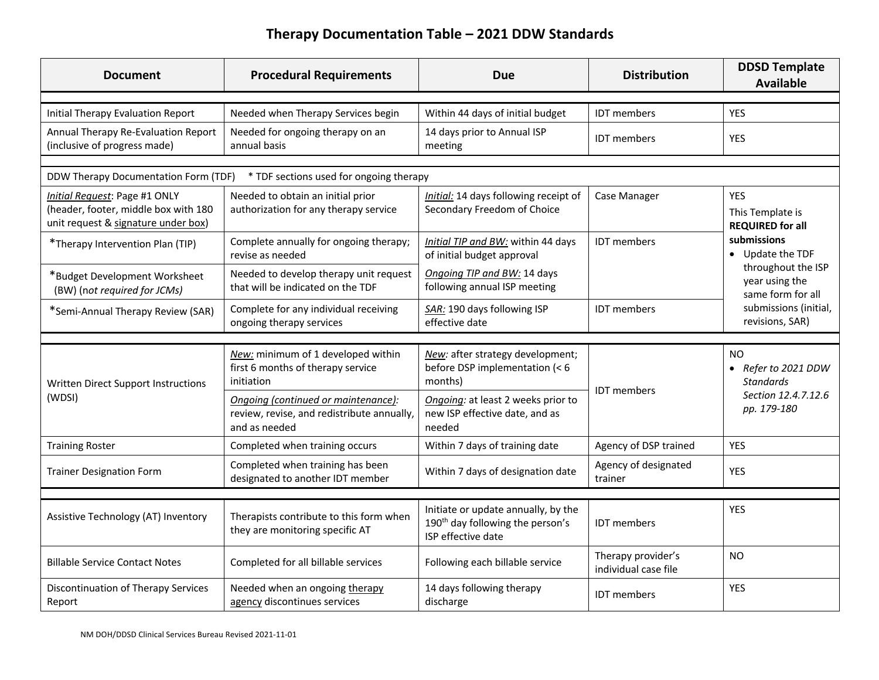## **Therapy Documentation Table – 2021 DDW Standards**

| <b>Document</b>                                                                                              | <b>Procedural Requirements</b>                                                                     | <b>Due</b>                                                                                                | <b>Distribution</b>                        | <b>DDSD Template</b><br><b>Available</b>                                                                                                 |
|--------------------------------------------------------------------------------------------------------------|----------------------------------------------------------------------------------------------------|-----------------------------------------------------------------------------------------------------------|--------------------------------------------|------------------------------------------------------------------------------------------------------------------------------------------|
| <b>Initial Therapy Evaluation Report</b>                                                                     | Needed when Therapy Services begin                                                                 | Within 44 days of initial budget                                                                          | <b>IDT</b> members                         | <b>YES</b>                                                                                                                               |
| Annual Therapy Re-Evaluation Report<br>(inclusive of progress made)                                          | Needed for ongoing therapy on an<br>annual basis                                                   | 14 days prior to Annual ISP<br>meeting                                                                    | <b>IDT</b> members                         | <b>YES</b>                                                                                                                               |
|                                                                                                              |                                                                                                    |                                                                                                           |                                            |                                                                                                                                          |
| DDW Therapy Documentation Form (TDF)                                                                         | * TDF sections used for ongoing therapy                                                            |                                                                                                           |                                            |                                                                                                                                          |
| Initial Request: Page #1 ONLY<br>(header, footer, middle box with 180<br>unit request & signature under box) | Needed to obtain an initial prior<br>authorization for any therapy service                         | Initial: 14 days following receipt of<br>Secondary Freedom of Choice                                      | Case Manager                               | YES<br>This Template is<br><b>REQUIRED for all</b>                                                                                       |
| *Therapy Intervention Plan (TIP)                                                                             | Complete annually for ongoing therapy;<br>revise as needed                                         | Initial TIP and BW: within 44 days<br>of initial budget approval                                          | <b>IDT</b> members                         | submissions<br>• Update the TDF<br>throughout the ISP<br>year using the<br>same form for all<br>submissions (initial,<br>revisions, SAR) |
| *Budget Development Worksheet<br>(BW) (not required for JCMs)                                                | Needed to develop therapy unit request<br>that will be indicated on the TDF                        | Ongoing TIP and BW: 14 days<br>following annual ISP meeting                                               |                                            |                                                                                                                                          |
| *Semi-Annual Therapy Review (SAR)                                                                            | Complete for any individual receiving<br>ongoing therapy services                                  | SAR: 190 days following ISP<br>effective date                                                             | <b>IDT</b> members                         |                                                                                                                                          |
|                                                                                                              |                                                                                                    |                                                                                                           |                                            |                                                                                                                                          |
| Written Direct Support Instructions<br>(WDSI)                                                                | New: minimum of 1 developed within<br>first 6 months of therapy service<br>initiation              | New: after strategy development;<br>before DSP implementation (< 6<br>months)                             | <b>IDT</b> members                         | <b>NO</b><br>• Refer to 2021 DDW<br><b>Standards</b>                                                                                     |
|                                                                                                              | Ongoing (continued or maintenance):<br>review, revise, and redistribute annually,<br>and as needed | Ongoing: at least 2 weeks prior to<br>new ISP effective date, and as<br>needed                            |                                            | Section 12.4.7.12.6<br>pp. 179-180                                                                                                       |
| <b>Training Roster</b>                                                                                       | Completed when training occurs                                                                     | Within 7 days of training date                                                                            | Agency of DSP trained                      | <b>YES</b>                                                                                                                               |
| <b>Trainer Designation Form</b>                                                                              | Completed when training has been<br>designated to another IDT member                               | Within 7 days of designation date                                                                         | Agency of designated<br>trainer            | <b>YES</b>                                                                                                                               |
|                                                                                                              |                                                                                                    |                                                                                                           |                                            |                                                                                                                                          |
| Assistive Technology (AT) Inventory                                                                          | Therapists contribute to this form when<br>they are monitoring specific AT                         | Initiate or update annually, by the<br>190 <sup>th</sup> day following the person's<br>ISP effective date | <b>IDT</b> members                         | <b>YES</b>                                                                                                                               |
| <b>Billable Service Contact Notes</b>                                                                        | Completed for all billable services                                                                | Following each billable service                                                                           | Therapy provider's<br>individual case file | N <sub>O</sub>                                                                                                                           |
| Discontinuation of Therapy Services<br>Report                                                                | Needed when an ongoing therapy<br>agency discontinues services                                     | 14 days following therapy<br>discharge                                                                    | <b>IDT</b> members                         | <b>YES</b>                                                                                                                               |